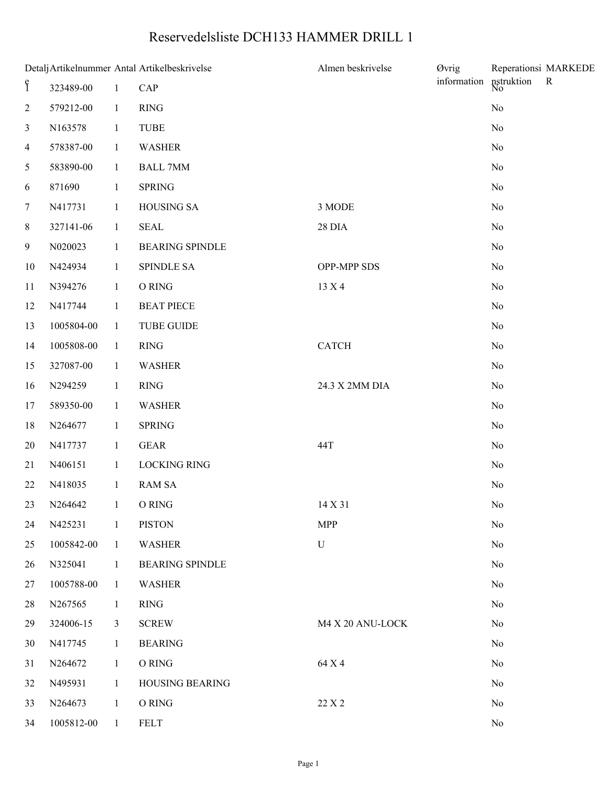## Reservedelsliste DCH133 HAMMER DRILL 1

| Detalj Artikelnummer Antal Artikelbeskrivelse |            |                |                        | Almen beskrivelse | <b>Øvrig</b>                  | Reperationsi MARKEDE |  |
|-----------------------------------------------|------------|----------------|------------------------|-------------------|-------------------------------|----------------------|--|
| $\mathbf{\hat{f}}$                            | 323489-00  | $\mathbf{1}$   | CAP                    | information       | nstruktion<br>No<br>${\bf R}$ |                      |  |
| $\overline{c}$                                | 579212-00  | $\mathbf{1}$   | RING                   |                   |                               | $\rm No$             |  |
| 3                                             | N163578    | $\mathbf{1}$   | <b>TUBE</b>            |                   |                               | No                   |  |
| $\overline{4}$                                | 578387-00  | $\mathbf{1}$   | <b>WASHER</b>          |                   |                               | No                   |  |
| 5                                             | 583890-00  | $\mathbf{1}$   | <b>BALL 7MM</b>        |                   |                               | No                   |  |
| 6                                             | 871690     | $\mathbf{1}$   | <b>SPRING</b>          |                   |                               | No                   |  |
| $\tau$                                        | N417731    | $\mathbf{1}$   | <b>HOUSING SA</b>      | 3 MODE            |                               | $\rm No$             |  |
| $8\,$                                         | 327141-06  | $\mathbf{1}$   | <b>SEAL</b>            | <b>28 DIA</b>     |                               | No                   |  |
| 9                                             | N020023    | $\mathbf{1}$   | BEARING SPINDLE        |                   |                               | No                   |  |
| $10\,$                                        | N424934    | $\mathbf{1}$   | SPINDLE SA             | OPP-MPP SDS       |                               | $\rm No$             |  |
| 11                                            | N394276    | $\mathbf{1}$   | O RING                 | 13 X 4            |                               | No                   |  |
| 12                                            | N417744    | $\mathbf{1}$   | <b>BEAT PIECE</b>      |                   |                               | No                   |  |
| 13                                            | 1005804-00 | $\mathbf{1}$   | <b>TUBE GUIDE</b>      |                   |                               | $\rm No$             |  |
| 14                                            | 1005808-00 | $\mathbf{1}$   | <b>RING</b>            | <b>CATCH</b>      |                               | No                   |  |
| 15                                            | 327087-00  | $\mathbf{1}$   | <b>WASHER</b>          |                   |                               | No                   |  |
| 16                                            | N294259    | $\mathbf{1}$   | <b>RING</b>            | 24.3 X 2MM DIA    |                               | No                   |  |
| 17                                            | 589350-00  | $\mathbf{1}$   | WASHER                 |                   |                               | No                   |  |
| 18                                            | N264677    | $\mathbf{1}$   | <b>SPRING</b>          |                   |                               | No                   |  |
| 20                                            | N417737    | $\mathbf{1}$   | <b>GEAR</b>            | 44T               |                               | No                   |  |
| 21                                            | N406151    | $\mathbf{1}$   | <b>LOCKING RING</b>    |                   |                               | No                   |  |
| 22                                            | N418035    | $\mathbf{1}$   | <b>RAM SA</b>          |                   |                               | $\rm No$             |  |
|                                               | 23 N264642 | $\sim$ 1       | O RING                 | 14 X 31           |                               | No                   |  |
| 24                                            | N425231    | $\mathbf{1}$   | <b>PISTON</b>          | <b>MPP</b>        |                               | No                   |  |
| 25                                            | 1005842-00 | $\mathbf{1}$   | <b>WASHER</b>          | ${\bf U}$         |                               | N <sub>0</sub>       |  |
| 26                                            | N325041    | $\mathbf{1}$   | <b>BEARING SPINDLE</b> |                   |                               | N <sub>0</sub>       |  |
| 27                                            | 1005788-00 | $\mathbf{1}$   | <b>WASHER</b>          |                   |                               | N <sub>o</sub>       |  |
| 28                                            | N267565    | $\mathbf{1}$   | <b>RING</b>            |                   |                               | No                   |  |
| 29                                            | 324006-15  | $\mathfrak{Z}$ | <b>SCREW</b>           | M4 X 20 ANU-LOCK  |                               | N <sub>0</sub>       |  |
| 30                                            | N417745    | $\mathbf{1}$   | <b>BEARING</b>         |                   |                               | N <sub>o</sub>       |  |
| 31                                            | N264672    | $\mathbf{1}$   | O RING                 | 64 X 4            |                               | N <sub>0</sub>       |  |
| 32                                            | N495931    | $\mathbf{1}$   | HOUSING BEARING        |                   |                               | N <sub>0</sub>       |  |
| 33                                            | N264673    | $\mathbf{1}$   | O RING                 | 22 X 2            |                               | N <sub>0</sub>       |  |
| 34                                            | 1005812-00 | $\mathbf{1}$   | <b>FELT</b>            |                   |                               | $\rm No$             |  |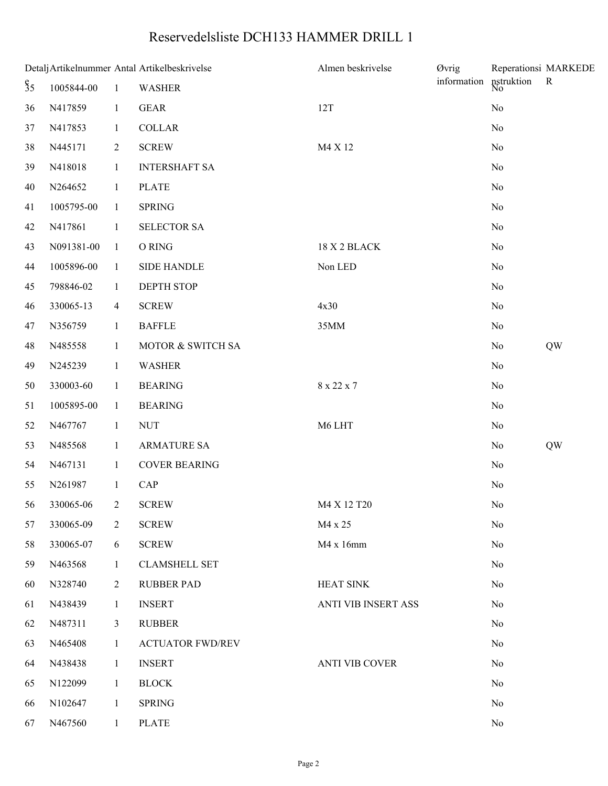## Reservedelsliste DCH133 HAMMER DRILL 1

| Detalj Artikelnummer Antal Artikelbeskrivelse |            |                |                         | Almen beskrivelse          | <b>Øvrig</b>     |                | Reperationsi MARKEDE |
|-----------------------------------------------|------------|----------------|-------------------------|----------------------------|------------------|----------------|----------------------|
| $\S_5$                                        | 1005844-00 | $\mathbf{1}$   | <b>WASHER</b>           | information                | nstruktion<br>No | $\mathbf{R}$   |                      |
| 36                                            | N417859    | $\mathbf{1}$   | <b>GEAR</b>             | 12T                        |                  | $\rm No$       |                      |
| 37                                            | N417853    | $\mathbf{1}$   | <b>COLLAR</b>           |                            |                  | No             |                      |
| 38                                            | N445171    | $\overline{2}$ | <b>SCREW</b>            | M4 X 12                    |                  | No             |                      |
| 39                                            | N418018    | $\mathbf{1}$   | <b>INTERSHAFT SA</b>    |                            |                  | No             |                      |
| 40                                            | N264652    | $\mathbf{1}$   | <b>PLATE</b>            |                            |                  | No             |                      |
| 41                                            | 1005795-00 | $\mathbf{1}$   | <b>SPRING</b>           |                            |                  | No             |                      |
| 42                                            | N417861    | $\mathbf{1}$   | <b>SELECTOR SA</b>      |                            |                  | No             |                      |
| 43                                            | N091381-00 | $\mathbf{1}$   | O RING                  | 18 X 2 BLACK               |                  | No             |                      |
| 44                                            | 1005896-00 | $\mathbf{1}$   | <b>SIDE HANDLE</b>      | Non LED                    |                  | No             |                      |
| 45                                            | 798846-02  | $\mathbf{1}$   | <b>DEPTH STOP</b>       |                            |                  | No             |                      |
| 46                                            | 330065-13  | $\overline{4}$ | <b>SCREW</b>            | 4x30                       |                  | No             |                      |
| 47                                            | N356759    | $\mathbf{1}$   | <b>BAFFLE</b>           | 35MM                       |                  | No             |                      |
| 48                                            | N485558    | $\mathbf{1}$   | MOTOR & SWITCH SA       |                            |                  | No             | QW                   |
| 49                                            | N245239    | $\mathbf{1}$   | <b>WASHER</b>           |                            |                  | No             |                      |
| 50                                            | 330003-60  | $\mathbf{1}$   | <b>BEARING</b>          | 8 x 22 x 7                 |                  | No             |                      |
| 51                                            | 1005895-00 | $\mathbf{1}$   | <b>BEARING</b>          |                            |                  | No             |                      |
| 52                                            | N467767    | $\mathbf{1}$   | <b>NUT</b>              | M6 LHT                     |                  | No             |                      |
| 53                                            | N485568    | $\mathbf{1}$   | <b>ARMATURE SA</b>      |                            |                  | No             | QW                   |
| 54                                            | N467131    | $\mathbf{1}$   | <b>COVER BEARING</b>    |                            |                  | No             |                      |
| 55                                            | N261987    | $\mathbf{1}$   | CAP                     |                            |                  | $\rm No$       |                      |
| 56                                            | 330065-06  | $2^{\circ}$    | <b>SCREW</b>            | M4 X 12 T20                |                  | N <sub>0</sub> |                      |
| 57                                            | 330065-09  | $\overline{2}$ | <b>SCREW</b>            | M4 x 25                    |                  | No             |                      |
| 58                                            | 330065-07  | 6              | <b>SCREW</b>            | M4 x 16mm                  |                  | No             |                      |
| 59                                            | N463568    | $\mathbf{1}$   | <b>CLAMSHELL SET</b>    |                            |                  | No             |                      |
| 60                                            | N328740    | $\overline{2}$ | <b>RUBBER PAD</b>       | <b>HEAT SINK</b>           |                  | No             |                      |
| 61                                            | N438439    | $\mathbf{1}$   | <b>INSERT</b>           | <b>ANTI VIB INSERT ASS</b> |                  | No             |                      |
| 62                                            | N487311    | 3              | <b>RUBBER</b>           |                            |                  | No             |                      |
| 63                                            | N465408    | $\mathbf{1}$   | <b>ACTUATOR FWD/REV</b> |                            |                  | No             |                      |
| 64                                            | N438438    | $\mathbf{1}$   | <b>INSERT</b>           | <b>ANTI VIB COVER</b>      |                  | No             |                      |
| 65                                            | N122099    | $\mathbf{1}$   | <b>BLOCK</b>            |                            |                  | No             |                      |
| 66                                            | N102647    | 1              | <b>SPRING</b>           |                            |                  | No             |                      |
| 67                                            | N467560    | $\mathbf{1}$   | <b>PLATE</b>            |                            |                  | No             |                      |